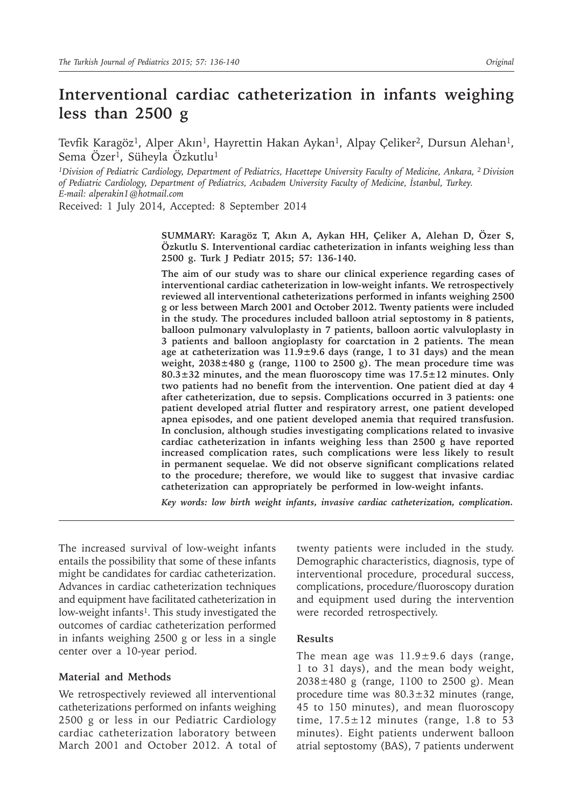# **Interventional cardiac catheterization in infants weighing less than 2500 g**

Tevfik Karagöz<sup>1</sup>, Alper Akın<sup>1</sup>, Hayrettin Hakan Aykan<sup>1</sup>, Alpay Çeliker<sup>2</sup>, Dursun Alehan<sup>1</sup>, Sema Özer<sup>1</sup>, Süheyla Özkutlu<sup>1</sup>

*1Division of Pediatric Cardiology, Department of Pediatrics, Hacettepe University Faculty of Medicine, Ankara, 2 Division of Pediatric Cardiology, Department of Pediatrics, Acıbadem University Faculty of Medicine, İstanbul, Turkey. E-mail: alperakin1@hotmail.com*

Received: 1 July 2014, Accepted: 8 September 2014

**SUMMARY: Karagöz T, Akın A, Aykan HH, Çeliker A, Alehan D, Özer S, Özkutlu S. Interventional cardiac catheterization in infants weighing less than 2500 g. Turk J Pediatr 2015; 57: 136-140.**

**The aim of our study was to share our clinical experience regarding cases of interventional cardiac catheterization in low-weight infants. We retrospectively reviewed all interventional catheterizations performed in infants weighing 2500 g or less between March 2001 and October 2012. Twenty patients were included in the study. The procedures included balloon atrial septostomy in 8 patients, balloon pulmonary valvuloplasty in 7 patients, balloon aortic valvuloplasty in 3 patients and balloon angioplasty for coarctation in 2 patients. The mean age at catheterization was 11.9±9.6 days (range, 1 to 31 days) and the mean weight, 2038±480 g (range, 1100 to 2500 g). The mean procedure time was 80.3±32 minutes, and the mean fluoroscopy time was 17.5±12 minutes. Only two patients had no benefit from the intervention. One patient died at day 4 after catheterization, due to sepsis. Complications occurred in 3 patients: one patient developed atrial flutter and respiratory arrest, one patient developed apnea episodes, and one patient developed anemia that required transfusion. In conclusion, although studies investigating complications related to invasive cardiac catheterization in infants weighing less than 2500 g have reported increased complication rates, such complications were less likely to result in permanent sequelae. We did not observe significant complications related to the procedure; therefore, we would like to suggest that invasive cardiac catheterization can appropriately be performed in low-weight infants.** 

*Key words: low birth weight infants, invasive cardiac catheterization, complication.*

The increased survival of low-weight infants entails the possibility that some of these infants might be candidates for cardiac catheterization. Advances in cardiac catheterization techniques and equipment have facilitated catheterization in low-weight infants<sup>1</sup>. This study investigated the outcomes of cardiac catheterization performed in infants weighing 2500 g or less in a single center over a 10-year period.

## **Material and Methods**

We retrospectively reviewed all interventional catheterizations performed on infants weighing 2500 g or less in our Pediatric Cardiology cardiac catheterization laboratory between March 2001 and October 2012. A total of

twenty patients were included in the study. Demographic characteristics, diagnosis, type of interventional procedure, procedural success, complications, procedure/fluoroscopy duration and equipment used during the intervention were recorded retrospectively.

#### **Results**

The mean age was  $11.9 \pm 9.6$  days (range, 1 to 31 days), and the mean body weight, 2038±480 g (range, 1100 to 2500 g). Mean procedure time was 80.3±32 minutes (range, 45 to 150 minutes), and mean fluoroscopy time,  $17.5 \pm 12$  minutes (range, 1.8 to 53 minutes). Eight patients underwent balloon atrial septostomy (BAS), 7 patients underwent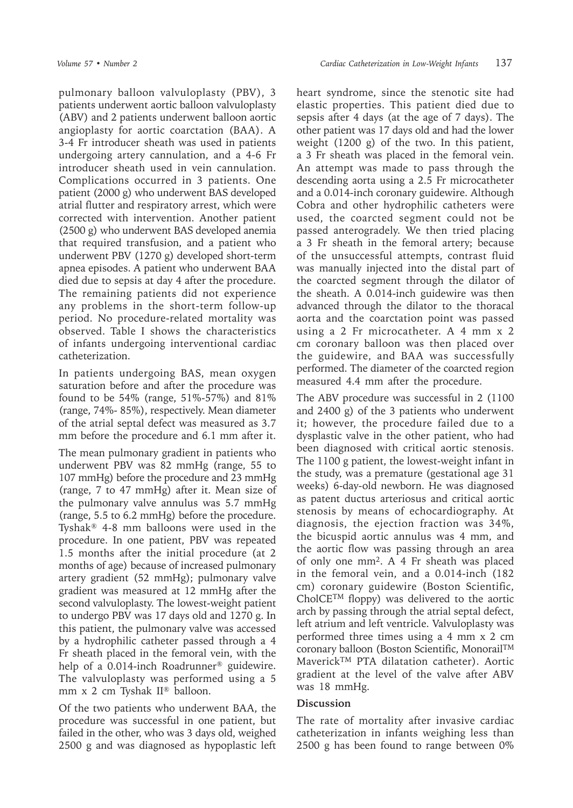pulmonary balloon valvuloplasty (PBV), 3 patients underwent aortic balloon valvuloplasty (ABV) and 2 patients underwent balloon aortic angioplasty for aortic coarctation (BAA). A 3-4 Fr introducer sheath was used in patients undergoing artery cannulation, and a 4-6 Fr introducer sheath used in vein cannulation. Complications occurred in 3 patients. One patient (2000 g) who underwent BAS developed atrial flutter and respiratory arrest, which were corrected with intervention. Another patient (2500 g) who underwent BAS developed anemia that required transfusion, and a patient who underwent PBV (1270 g) developed short-term apnea episodes. A patient who underwent BAA died due to sepsis at day 4 after the procedure. The remaining patients did not experience any problems in the short-term follow-up period. No procedure-related mortality was observed. Table I shows the characteristics of infants undergoing interventional cardiac catheterization.

In patients undergoing BAS, mean oxygen saturation before and after the procedure was found to be 54% (range, 51%-57%) and 81% (range, 74%- 85%), respectively. Mean diameter of the atrial septal defect was measured as 3.7 mm before the procedure and 6.1 mm after it.

The mean pulmonary gradient in patients who underwent PBV was 82 mmHg (range, 55 to 107 mmHg) before the procedure and 23 mmHg (range, 7 to 47 mmHg) after it. Mean size of the pulmonary valve annulus was 5.7 mmHg (range, 5.5 to 6.2 mmHg) before the procedure. Tyshak® 4-8 mm balloons were used in the procedure. In one patient, PBV was repeated 1.5 months after the initial procedure (at 2 months of age) because of increased pulmonary artery gradient (52 mmHg); pulmonary valve gradient was measured at 12 mmHg after the second valvuloplasty. The lowest-weight patient to undergo PBV was 17 days old and 1270 g. In this patient, the pulmonary valve was accessed by a hydrophilic catheter passed through a 4 Fr sheath placed in the femoral vein, with the help of a 0.014-inch Roadrunner<sup>®</sup> guidewire. The valvuloplasty was performed using a 5 mm x 2 cm Tyshak II® balloon.

Of the two patients who underwent BAA, the procedure was successful in one patient, but failed in the other, who was 3 days old, weighed 2500 g and was diagnosed as hypoplastic left

heart syndrome, since the stenotic site had elastic properties. This patient died due to sepsis after 4 days (at the age of 7 days). The other patient was 17 days old and had the lower weight (1200 g) of the two. In this patient, a 3 Fr sheath was placed in the femoral vein. An attempt was made to pass through the descending aorta using a 2.5 Fr microcatheter and a 0.014-inch coronary guidewire. Although Cobra and other hydrophilic catheters were used, the coarcted segment could not be passed anterogradely. We then tried placing a 3 Fr sheath in the femoral artery; because of the unsuccessful attempts, contrast fluid was manually injected into the distal part of the coarcted segment through the dilator of the sheath. A 0.014-inch guidewire was then advanced through the dilator to the thoracal aorta and the coarctation point was passed using a 2 Fr microcatheter. A 4 mm x 2 cm coronary balloon was then placed over the guidewire, and BAA was successfully performed. The diameter of the coarcted region measured 4.4 mm after the procedure.

The ABV procedure was successful in 2 (1100 and 2400 g) of the 3 patients who underwent it; however, the procedure failed due to a dysplastic valve in the other patient, who had been diagnosed with critical aortic stenosis. The 1100 g patient, the lowest-weight infant in the study, was a premature (gestational age 31 weeks) 6-day-old newborn. He was diagnosed as patent ductus arteriosus and critical aortic stenosis by means of echocardiography. At diagnosis, the ejection fraction was 34%, the bicuspid aortic annulus was 4 mm, and the aortic flow was passing through an area of only one mm<sup>2</sup>. A 4 Fr sheath was placed in the femoral vein, and a 0.014-inch (182 cm) coronary guidewire (Boston Scientific, CholCETM floppy) was delivered to the aortic arch by passing through the atrial septal defect, left atrium and left ventricle. Valvuloplasty was performed three times using a 4 mm x 2 cm coronary balloon (Boston Scientific, MonorailTM MaverickTM PTA dilatation catheter). Aortic gradient at the level of the valve after ABV was 18 mmHg.

# **Discussion**

The rate of mortality after invasive cardiac catheterization in infants weighing less than 2500 g has been found to range between 0%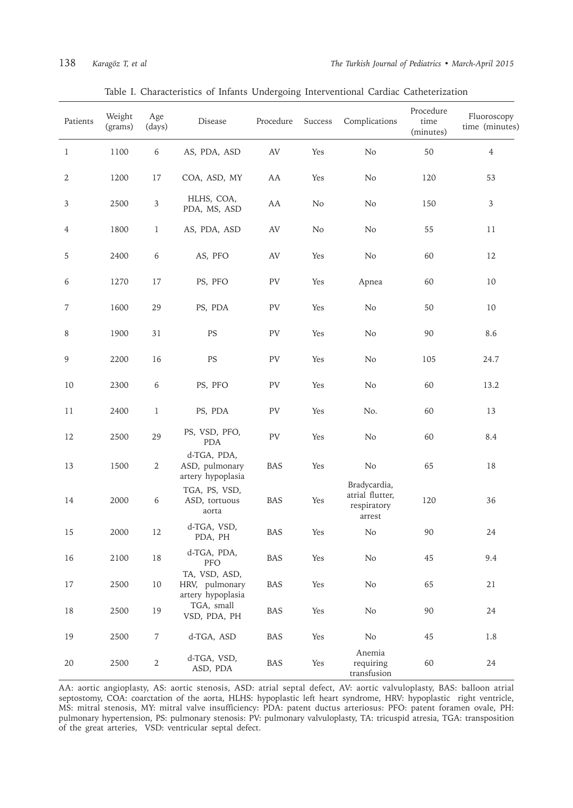| Patients       | Weight<br>(grams) | Age<br>(days)    | Disease                                              | Procedure  | Success | Complications                                            | Procedure<br>time<br>(minutes) | Fluoroscopy<br>time (minutes) |
|----------------|-------------------|------------------|------------------------------------------------------|------------|---------|----------------------------------------------------------|--------------------------------|-------------------------------|
| $\mathbf{1}$   | 1100              | $\,6\,$          | AS, PDA, ASD                                         | AV         | Yes     | No                                                       | 50                             | $\overline{4}$                |
| $\sqrt{2}$     | 1200              | 17               | COA, ASD, MY                                         | AA         | Yes     | No                                                       | 120                            | 53                            |
| $\mathfrak{Z}$ | 2500              | $\mathfrak{Z}$   | HLHS, COA,<br>PDA, MS, ASD                           | AA         | No      | No                                                       | 150                            | $\mathfrak{Z}$                |
| $\overline{4}$ | 1800              | $\mathbf{1}$     | AS, PDA, ASD                                         | AV         | No      | No                                                       | 55                             | 11                            |
| 5              | 2400              | $\boldsymbol{6}$ | AS, PFO                                              | AV         | Yes     | No                                                       | 60                             | 12                            |
| 6              | 1270              | 17               | PS, PFO                                              | PV         | Yes     | Apnea                                                    | 60                             | 10                            |
| 7              | 1600              | 29               | PS, PDA                                              | PV         | Yes     | No                                                       | 50                             | 10                            |
| 8              | 1900              | 31               | PS                                                   | PV         | Yes     | No                                                       | 90                             | 8.6                           |
| $\overline{9}$ | 2200              | 16               | PS                                                   | PV         | Yes     | No                                                       | 105                            | 24.7                          |
| 10             | 2300              | 6                | PS, PFO                                              | PV         | Yes     | No                                                       | 60                             | 13.2                          |
| 11             | 2400              | $\mathbf{1}$     | PS, PDA                                              | PV         | Yes     | No.                                                      | 60                             | 13                            |
| 12             | 2500              | 29               | PS, VSD, PFO,<br><b>PDA</b>                          | PV         | Yes     | No                                                       | 60                             | 8.4                           |
| 13             | 1500              | $\sqrt{2}$       | d-TGA, PDA,<br>ASD, pulmonary<br>artery hypoplasia   | BAS        | Yes     | No                                                       | 65                             | 18                            |
| 14             | 2000              | 6                | TGA, PS, VSD,<br>ASD, tortuous<br>aorta              | BAS        | Yes     | Bradycardia,<br>atrial flutter,<br>respiratory<br>arrest | 120                            | 36                            |
| 15             | 2000              | 12               | d-TGA, VSD,<br>PDA, PH                               | <b>BAS</b> | Yes     | No                                                       | 90                             | 24                            |
| 16             | 2100              | $18\,$           | d-TGA, PDA,<br>PFO                                   | BAS        | Yes     | No                                                       | 45                             | 9.4                           |
| 17             | 2500              | 10               | TA, VSD, ASD,<br>HRV, pulmonary<br>artery hypoplasia | <b>BAS</b> | Yes     | No                                                       | 65                             | 21                            |
| 18             | 2500              | 19               | TGA, small<br>VSD, PDA, PH                           | BAS        | Yes     | No                                                       | 90                             | 24                            |
| 19             | 2500              | $\overline{7}$   | d-TGA, ASD                                           | BAS        | Yes     | No                                                       | 45                             | 1.8                           |
| 20             | 2500              | $\sqrt{2}$       | d-TGA, VSD,<br>ASD, PDA                              | BAS        | Yes     | Anemia<br>requiring<br>transfusion                       | 60                             | 24                            |

### Table I. Characteristics of Infants Undergoing Interventional Cardiac Catheterization

AA: aortic angioplasty, AS: aortic stenosis, ASD: atrial septal defect, AV: aortic valvuloplasty, BAS: balloon atrial septostomy, COA: coarctation of the aorta, HLHS: hypoplastic left heart syndrome, HRV: hypoplastic right ventricle, MS: mitral stenosis, MY: mitral valve insufficiency: PDA: patent ductus arteriosus: PFO: patent foramen ovale, PH: pulmonary hypertension, PS: pulmonary stenosis: PV: pulmonary valvuloplasty, TA: tricuspid atresia, TGA: transposition of the great arteries, VSD: ventricular septal defect.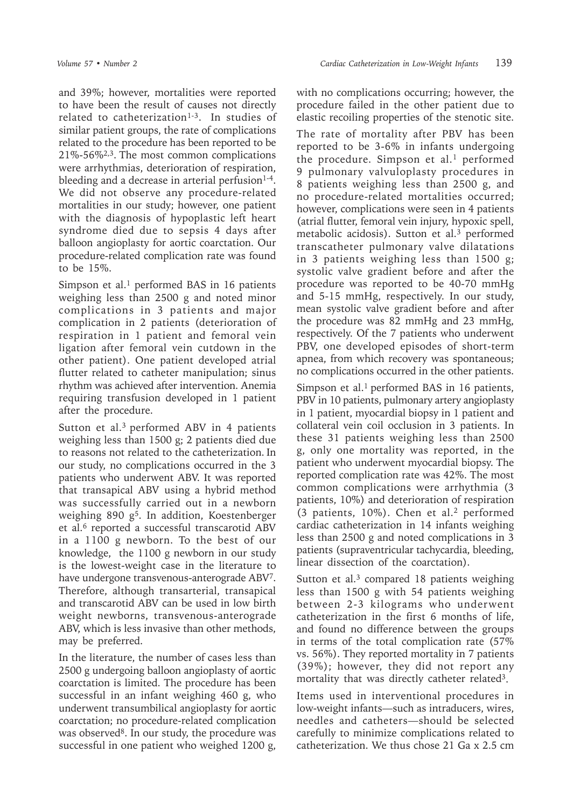and 39%; however, mortalities were reported to have been the result of causes not directly related to catheterization $1-3$ . In studies of similar patient groups, the rate of complications related to the procedure has been reported to be 21%-56%2,3. The most common complications were arrhythmias, deterioration of respiration, bleeding and a decrease in arterial perfusion $1-4$ . We did not observe any procedure-related mortalities in our study; however, one patient with the diagnosis of hypoplastic left heart syndrome died due to sepsis 4 days after balloon angioplasty for aortic coarctation. Our procedure-related complication rate was found to be 15%.

Simpson et al.<sup>1</sup> performed BAS in 16 patients weighing less than 2500 g and noted minor complications in 3 patients and major complication in 2 patients (deterioration of respiration in 1 patient and femoral vein ligation after femoral vein cutdown in the other patient). One patient developed atrial flutter related to catheter manipulation; sinus rhythm was achieved after intervention. Anemia requiring transfusion developed in 1 patient after the procedure.

Sutton et al.<sup>3</sup> performed ABV in 4 patients weighing less than 1500 g; 2 patients died due to reasons not related to the catheterization. In our study, no complications occurred in the 3 patients who underwent ABV. It was reported that transapical ABV using a hybrid method was successfully carried out in a newborn weighing 890 g<sup>5</sup>. In addition, Koestenberger et al.<sup>6</sup> reported a successful transcarotid ABV in a 1100 g newborn. To the best of our knowledge, the 1100 g newborn in our study is the lowest-weight case in the literature to have undergone transvenous-anterograde ABV7. Therefore, although transarterial, transapical and transcarotid ABV can be used in low birth weight newborns, transvenous-anterograde ABV, which is less invasive than other methods, may be preferred.

In the literature, the number of cases less than 2500 g undergoing balloon angioplasty of aortic coarctation is limited. The procedure has been successful in an infant weighing 460 g, who underwent transumbilical angioplasty for aortic coarctation; no procedure-related complication was observed<sup>8</sup>. In our study, the procedure was successful in one patient who weighed 1200 g,

with no complications occurring; however, the procedure failed in the other patient due to elastic recoiling properties of the stenotic site.

The rate of mortality after PBV has been reported to be 3-6% in infants undergoing the procedure. Simpson et al.<sup>1</sup> performed 9 pulmonary valvuloplasty procedures in 8 patients weighing less than 2500 g, and no procedure-related mortalities occurred; however, complications were seen in 4 patients (atrial flutter, femoral vein injury, hypoxic spell, metabolic acidosis). Sutton et al.<sup>3</sup> performed transcatheter pulmonary valve dilatations in 3 patients weighing less than 1500 g; systolic valve gradient before and after the procedure was reported to be 40-70 mmHg and 5-15 mmHg, respectively. In our study, mean systolic valve gradient before and after the procedure was 82 mmHg and 23 mmHg, respectively. Of the 7 patients who underwent PBV, one developed episodes of short-term apnea, from which recovery was spontaneous; no complications occurred in the other patients.

Simpson et al.<sup>1</sup> performed BAS in 16 patients, PBV in 10 patients, pulmonary artery angioplasty in 1 patient, myocardial biopsy in 1 patient and collateral vein coil occlusion in 3 patients. In these 31 patients weighing less than 2500 g, only one mortality was reported, in the patient who underwent myocardial biopsy. The reported complication rate was 42%. The most common complications were arrhythmia (3 patients, 10%) and deterioration of respiration (3 patients,  $10\%$ ). Chen et al.<sup>2</sup> performed cardiac catheterization in 14 infants weighing less than 2500 g and noted complications in 3 patients (supraventricular tachycardia, bleeding, linear dissection of the coarctation).

Sutton et al. $3$  compared 18 patients weighing less than 1500 g with 54 patients weighing between 2-3 kilograms who underwent catheterization in the first 6 months of life, and found no difference between the groups in terms of the total complication rate (57% vs. 56%). They reported mortality in 7 patients (39%); however, they did not report any mortality that was directly catheter related<sup>3</sup>.

Items used in interventional procedures in low-weight infants—such as intraducers, wires, needles and catheters—should be selected carefully to minimize complications related to catheterization. We thus chose 21 Ga x 2.5 cm